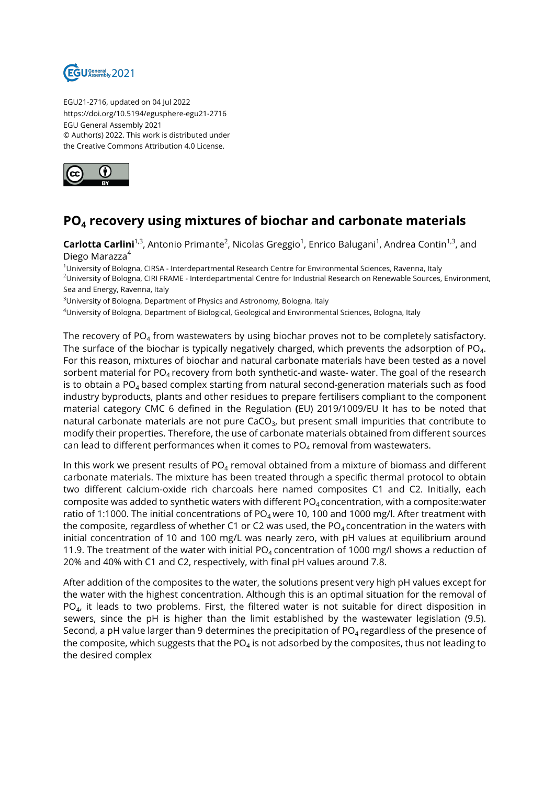

EGU21-2716, updated on 04 Jul 2022 https://doi.org/10.5194/egusphere-egu21-2716 EGU General Assembly 2021 © Author(s) 2022. This work is distributed under the Creative Commons Attribution 4.0 License.



## **PO<sup>4</sup> recovery using mixtures of biochar and carbonate materials**

 $\mathsf{Cartootta}$   $\mathsf{Carlini}^{1,3}$ , Antonio Primante<sup>2</sup>, Nicolas Greggio<sup>1</sup>, Enrico Balugani<sup>1</sup>, Andrea Contin<sup>1,3</sup>, and Diego Marazza<sup>4</sup>

<sup>1</sup>University of Bologna, CIRSA - Interdepartmental Research Centre for Environmental Sciences, Ravenna, Italy

<sup>2</sup>University of Bologna, CIRI FRAME - Interdepartmental Centre for Industrial Research on Renewable Sources, Environment, Sea and Energy, Ravenna, Italy

<sup>3</sup>University of Bologna, Department of Physics and Astronomy, Bologna, Italy

<sup>4</sup>University of Bologna, Department of Biological, Geological and Environmental Sciences, Bologna, Italy

The recovery of PO $_4$  from wastewaters by using biochar proves not to be completely satisfactory. The surface of the biochar is typically negatively charged, which prevents the adsorption of PO $_{\rm 4}$ . For this reason, mixtures of biochar and natural carbonate materials have been tested as a novel sorbent material for  $PO_4$  recovery from both synthetic-and waste- water. The goal of the research is to obtain a  $PO_4$  based complex starting from natural second-generation materials such as food industry byproducts, plants and other residues to prepare fertilisers compliant to the component material category CMC 6 defined in the Regulation **(**EU) 2019/1009/EU It has to be noted that natural carbonate materials are not pure CaCO $_3$ , but present small impurities that contribute to modify their properties. Therefore, the use of carbonate materials obtained from different sources can lead to different performances when it comes to PO $_4$  removal from wastewaters.

In this work we present results of  $PO<sub>4</sub>$  removal obtained from a mixture of biomass and different carbonate materials. The mixture has been treated through a specific thermal protocol to obtain two different calcium-oxide rich charcoals here named composites C1 and C2. Initially, each composite was added to synthetic waters with different  $PO<sub>4</sub>$  concentration, with a composite:water ratio of 1:1000. The initial concentrations of PO<sub>4</sub> were 10, 100 and 1000 mg/l. After treatment with the composite, regardless of whether C1 or C2 was used, the  $PO<sub>4</sub>$  concentration in the waters with initial concentration of 10 and 100 mg/L was nearly zero, with pH values at equilibrium around 11.9. The treatment of the water with initial PO<sub>4</sub> concentration of 1000 mg/l shows a reduction of 20% and 40% with C1 and C2, respectively, with final pH values around 7.8.

After addition of the composites to the water, the solutions present very high pH values except for the water with the highest concentration. Although this is an optimal situation for the removal of PO $_{\rm 4}$ , it leads to two problems. First, the filtered water is not suitable for direct disposition in sewers, since the pH is higher than the limit established by the wastewater legislation (9.5). Second, a pH value larger than 9 determines the precipitation of  $PO<sub>4</sub>$  regardless of the presence of the composite, which suggests that the PO $_4$  is not adsorbed by the composites, thus not leading to the desired complex